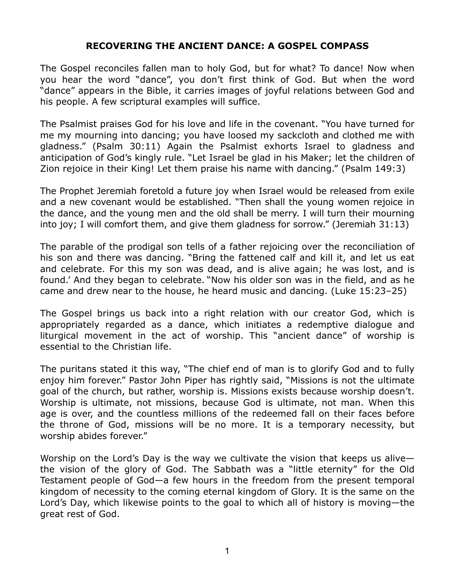## **RECOVERING THE ANCIENT DANCE: A GOSPEL COMPASS**

The Gospel reconciles fallen man to holy God, but for what? To dance! Now when you hear the word "dance", you don't first think of God. But when the word "dance" appears in the Bible, it carries images of joyful relations between God and his people. A few scriptural examples will suffice.

The Psalmist praises God for his love and life in the covenant. "You have turned for me my mourning into dancing; you have loosed my sackcloth and clothed me with gladness." (Psalm 30:11) Again the Psalmist exhorts Israel to gladness and anticipation of God's kingly rule. "Let Israel be glad in his Maker; let the children of Zion rejoice in their King! Let them praise his name with dancing." (Psalm 149:3)

The Prophet Jeremiah foretold a future joy when Israel would be released from exile and a new covenant would be established. "Then shall the young women rejoice in the dance, and the young men and the old shall be merry. I will turn their mourning into joy; I will comfort them, and give them gladness for sorrow." (Jeremiah 31:13)

The parable of the prodigal son tells of a father rejoicing over the reconciliation of his son and there was dancing. "Bring the fattened calf and kill it, and let us eat and celebrate. For this my son was dead, and is alive again; he was lost, and is found.' And they began to celebrate. "Now his older son was in the field, and as he came and drew near to the house, he heard music and dancing. (Luke 15:23–25)

The Gospel brings us back into a right relation with our creator God, which is appropriately regarded as a dance, which initiates a redemptive dialogue and liturgical movement in the act of worship. This "ancient dance" of worship is essential to the Christian life.

The puritans stated it this way, "The chief end of man is to glorify God and to fully enjoy him forever." Pastor John Piper has rightly said, "Missions is not the ultimate goal of the church, but rather, worship is. Missions exists because worship doesn't. Worship is ultimate, not missions, because God is ultimate, not man. When this age is over, and the countless millions of the redeemed fall on their faces before the throne of God, missions will be no more. It is a temporary necessity, but worship abides forever."

Worship on the Lord's Day is the way we cultivate the vision that keeps us alive the vision of the glory of God. The Sabbath was a "little eternity" for the Old Testament people of God—a few hours in the freedom from the present temporal kingdom of necessity to the coming eternal kingdom of Glory. It is the same on the Lord's Day, which likewise points to the goal to which all of history is moving—the great rest of God.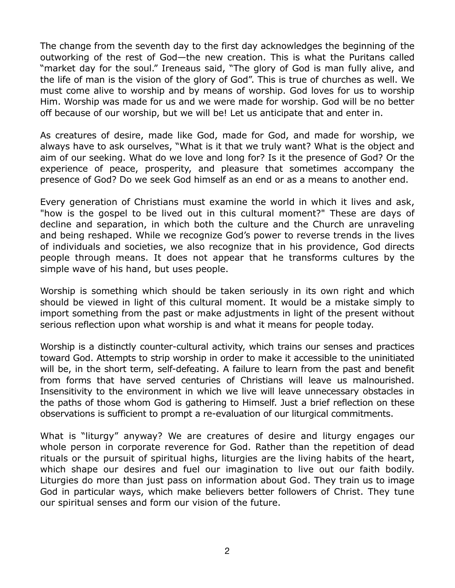The change from the seventh day to the first day acknowledges the beginning of the outworking of the rest of God—the new creation. This is what the Puritans called "market day for the soul." Ireneaus said, "The glory of God is man fully alive, and the life of man is the vision of the glory of God". This is true of churches as well. We must come alive to worship and by means of worship. God loves for us to worship Him. Worship was made for us and we were made for worship. God will be no better off because of our worship, but we will be! Let us anticipate that and enter in.

As creatures of desire, made like God, made for God, and made for worship, we always have to ask ourselves, "What is it that we truly want? What is the object and aim of our seeking. What do we love and long for? Is it the presence of God? Or the experience of peace, prosperity, and pleasure that sometimes accompany the presence of God? Do we seek God himself as an end or as a means to another end.

Every generation of Christians must examine the world in which it lives and ask, "how is the gospel to be lived out in this cultural moment?" These are days of decline and separation, in which both the culture and the Church are unraveling and being reshaped. While we recognize God's power to reverse trends in the lives of individuals and societies, we also recognize that in his providence, God directs people through means. It does not appear that he transforms cultures by the simple wave of his hand, but uses people.

Worship is something which should be taken seriously in its own right and which should be viewed in light of this cultural moment. It would be a mistake simply to import something from the past or make adjustments in light of the present without serious reflection upon what worship is and what it means for people today.

Worship is a distinctly counter-cultural activity, which trains our senses and practices toward God. Attempts to strip worship in order to make it accessible to the uninitiated will be, in the short term, self-defeating. A failure to learn from the past and benefit from forms that have served centuries of Christians will leave us malnourished. Insensitivity to the environment in which we live will leave unnecessary obstacles in the paths of those whom God is gathering to Himself. Just a brief reflection on these observations is sufficient to prompt a re-evaluation of our liturgical commitments.

What is "liturgy" anyway? We are creatures of desire and liturgy engages our whole person in corporate reverence for God. Rather than the repetition of dead rituals or the pursuit of spiritual highs, liturgies are the living habits of the heart, which shape our desires and fuel our imagination to live out our faith bodily. Liturgies do more than just pass on information about God. They train us to image God in particular ways, which make believers better followers of Christ. They tune our spiritual senses and form our vision of the future.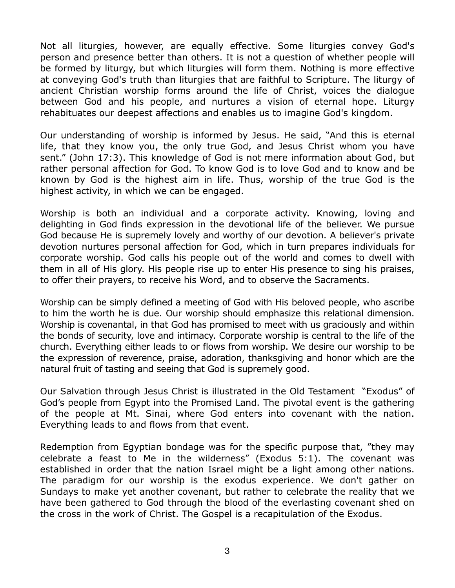Not all liturgies, however, are equally effective. Some liturgies convey God's person and presence better than others. It is not a question of whether people will be formed by liturgy, but which liturgies will form them. Nothing is more effective at conveying God's truth than liturgies that are faithful to Scripture. The liturgy of ancient Christian worship forms around the life of Christ, voices the dialogue between God and his people, and nurtures a vision of eternal hope. Liturgy rehabituates our deepest affections and enables us to imagine God's kingdom.

Our understanding of worship is informed by Jesus. He said, "And this is eternal life, that they know you, the only true God, and Jesus Christ whom you have sent." (John 17:3). This knowledge of God is not mere information about God, but rather personal affection for God. To know God is to love God and to know and be known by God is the highest aim in life. Thus, worship of the true God is the highest activity, in which we can be engaged.

Worship is both an individual and a corporate activity. Knowing, loving and delighting in God finds expression in the devotional life of the believer. We pursue God because He is supremely lovely and worthy of our devotion. A believer's private devotion nurtures personal affection for God, which in turn prepares individuals for corporate worship. God calls his people out of the world and comes to dwell with them in all of His glory. His people rise up to enter His presence to sing his praises, to offer their prayers, to receive his Word, and to observe the Sacraments.

Worship can be simply defined a meeting of God with His beloved people, who ascribe to him the worth he is due. Our worship should emphasize this relational dimension. Worship is covenantal, in that God has promised to meet with us graciously and within the bonds of security, love and intimacy. Corporate worship is central to the life of the church. Everything either leads to or flows from worship. We desire our worship to be the expression of reverence, praise, adoration, thanksgiving and honor which are the natural fruit of tasting and seeing that God is supremely good.

Our Salvation through Jesus Christ is illustrated in the Old Testament "Exodus" of God's people from Egypt into the Promised Land. The pivotal event is the gathering of the people at Mt. Sinai, where God enters into covenant with the nation. Everything leads to and flows from that event.

Redemption from Egyptian bondage was for the specific purpose that, "they may celebrate a feast to Me in the wilderness" (Exodus 5:1). The covenant was established in order that the nation Israel might be a light among other nations. The paradigm for our worship is the exodus experience. We don't gather on Sundays to make yet another covenant, but rather to celebrate the reality that we have been gathered to God through the blood of the everlasting covenant shed on the cross in the work of Christ. The Gospel is a recapitulation of the Exodus.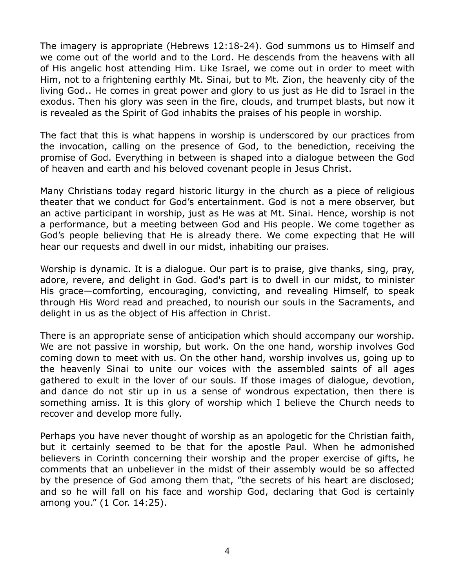The imagery is appropriate (Hebrews 12:18-24). God summons us to Himself and we come out of the world and to the Lord. He descends from the heavens with all of His angelic host attending Him. Like Israel, we come out in order to meet with Him, not to a frightening earthly Mt. Sinai, but to Mt. Zion, the heavenly city of the living God.. He comes in great power and glory to us just as He did to Israel in the exodus. Then his glory was seen in the fire, clouds, and trumpet blasts, but now it is revealed as the Spirit of God inhabits the praises of his people in worship.

The fact that this is what happens in worship is underscored by our practices from the invocation, calling on the presence of God, to the benediction, receiving the promise of God. Everything in between is shaped into a dialogue between the God of heaven and earth and his beloved covenant people in Jesus Christ.

Many Christians today regard historic liturgy in the church as a piece of religious theater that we conduct for God's entertainment. God is not a mere observer, but an active participant in worship, just as He was at Mt. Sinai. Hence, worship is not a performance, but a meeting between God and His people. We come together as God's people believing that He is already there. We come expecting that He will hear our requests and dwell in our midst, inhabiting our praises.

Worship is dynamic. It is a dialogue. Our part is to praise, give thanks, sing, pray, adore, revere, and delight in God. God's part is to dwell in our midst, to minister His grace—comforting, encouraging, convicting, and revealing Himself, to speak through His Word read and preached, to nourish our souls in the Sacraments, and delight in us as the object of His affection in Christ.

There is an appropriate sense of anticipation which should accompany our worship. We are not passive in worship, but work. On the one hand, worship involves God coming down to meet with us. On the other hand, worship involves us, going up to the heavenly Sinai to unite our voices with the assembled saints of all ages gathered to exult in the lover of our souls. If those images of dialogue, devotion, and dance do not stir up in us a sense of wondrous expectation, then there is something amiss. It is this glory of worship which I believe the Church needs to recover and develop more fully.

Perhaps you have never thought of worship as an apologetic for the Christian faith, but it certainly seemed to be that for the apostle Paul. When he admonished believers in Corinth concerning their worship and the proper exercise of gifts, he comments that an unbeliever in the midst of their assembly would be so affected by the presence of God among them that, "the secrets of his heart are disclosed; and so he will fall on his face and worship God, declaring that God is certainly among you." (1 Cor. 14:25).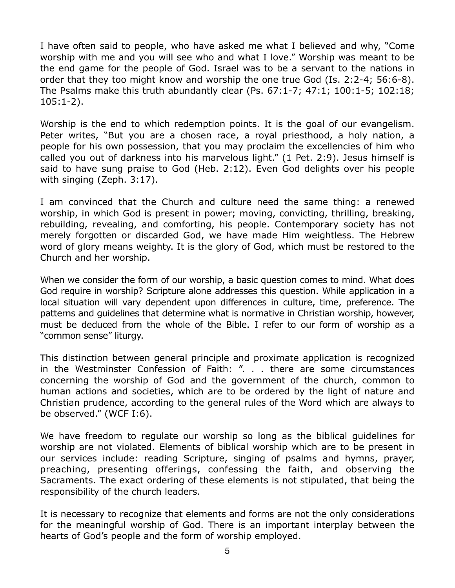I have often said to people, who have asked me what I believed and why, "Come worship with me and you will see who and what I love." Worship was meant to be the end game for the people of God. Israel was to be a servant to the nations in order that they too might know and worship the one true God (Is. 2:2-4; 56:6-8). The Psalms make this truth abundantly clear (Ps. 67:1-7; 47:1; 100:1-5; 102:18; 105:1-2).

Worship is the end to which redemption points. It is the goal of our evangelism. Peter writes, "But you are a chosen race, a royal priesthood, a holy nation, a people for his own possession, that you may proclaim the excellencies of him who called you out of darkness into his marvelous light." (1 Pet. 2:9). Jesus himself is said to have sung praise to God (Heb. 2:12). Even God delights over his people with singing (Zeph. 3:17).

I am convinced that the Church and culture need the same thing: a renewed worship, in which God is present in power; moving, convicting, thrilling, breaking, rebuilding, revealing, and comforting, his people. Contemporary society has not merely forgotten or discarded God, we have made Him weightless. The Hebrew word of glory means weighty. It is the glory of God, which must be restored to the Church and her worship.

When we consider the form of our worship, a basic question comes to mind. What does God require in worship? Scripture alone addresses this question. While application in a local situation will vary dependent upon differences in culture, time, preference. The patterns and guidelines that determine what is normative in Christian worship, however, must be deduced from the whole of the Bible. I refer to our form of worship as a "common sense" liturgy.

This distinction between general principle and proximate application is recognized in the Westminster Confession of Faith: ". . . there are some circumstances concerning the worship of God and the government of the church, common to human actions and societies, which are to be ordered by the light of nature and Christian prudence, according to the general rules of the Word which are always to be observed." (WCF I:6).

We have freedom to regulate our worship so long as the biblical guidelines for worship are not violated. Elements of biblical worship which are to be present in our services include: reading Scripture, singing of psalms and hymns, prayer, preaching, presenting offerings, confessing the faith, and observing the Sacraments. The exact ordering of these elements is not stipulated, that being the responsibility of the church leaders.

It is necessary to recognize that elements and forms are not the only considerations for the meaningful worship of God. There is an important interplay between the hearts of God's people and the form of worship employed.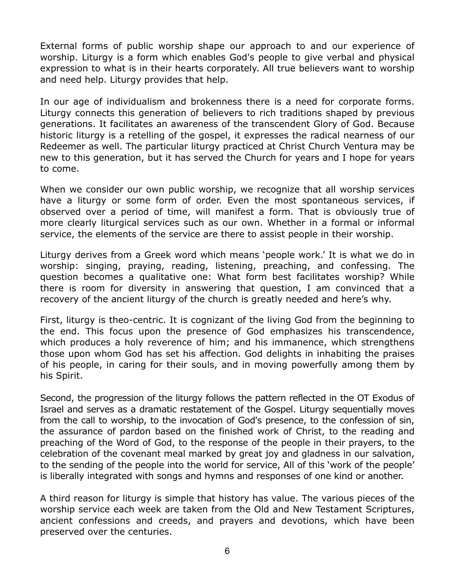External forms of public worship shape our approach to and our experience of worship. Liturgy is a form which enables God's people to give verbal and physical expression to what is in their hearts corporately. All true believers want to worship and need help. Liturgy provides that help.

In our age of individualism and brokenness there is a need for corporate forms. Liturgy connects this generation of believers to rich traditions shaped by previous generations. It facilitates an awareness of the transcendent Glory of God. Because historic liturgy is a retelling of the gospel, it expresses the radical nearness of our Redeemer as well. The particular liturgy practiced at Christ Church Ventura may be new to this generation, but it has served the Church for years and I hope for years to come.

When we consider our own public worship, we recognize that all worship services have a liturgy or some form of order. Even the most spontaneous services, if observed over a period of time, will manifest a form. That is obviously true of more clearly liturgical services such as our own. Whether in a formal or informal service, the elements of the service are there to assist people in their worship.

Liturgy derives from a Greek word which means 'people work.' It is what we do in worship: singing, praying, reading, listening, preaching, and confessing. The question becomes a qualitative one: What form best facilitates worship? While there is room for diversity in answering that question, I am convinced that a recovery of the ancient liturgy of the church is greatly needed and here's why.

First, liturgy is theo-centric. It is cognizant of the living God from the beginning to the end. This focus upon the presence of God emphasizes his transcendence, which produces a holy reverence of him; and his immanence, which strengthens those upon whom God has set his affection. God delights in inhabiting the praises of his people, in caring for their souls, and in moving powerfully among them by his Spirit.

Second, the progression of the liturgy follows the pattern reflected in the OT Exodus of Israel and serves as a dramatic restatement of the Gospel. Liturgy sequentially moves from the call to worship, to the invocation of God's presence, to the confession of sin, the assurance of pardon based on the finished work of Christ, to the reading and preaching of the Word of God, to the response of the people in their prayers, to the celebration of the covenant meal marked by great joy and gladness in our salvation, to the sending of the people into the world for service, All of this 'work of the people' is liberally integrated with songs and hymns and responses of one kind or another.

A third reason for liturgy is simple that history has value. The various pieces of the worship service each week are taken from the Old and New Testament Scriptures, ancient confessions and creeds, and prayers and devotions, which have been preserved over the centuries.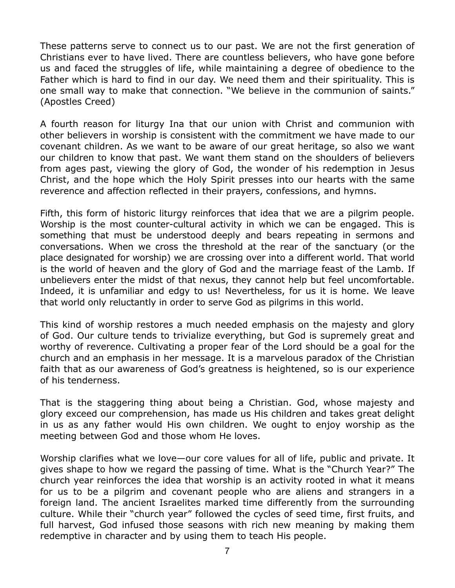These patterns serve to connect us to our past. We are not the first generation of Christians ever to have lived. There are countless believers, who have gone before us and faced the struggles of life, while maintaining a degree of obedience to the Father which is hard to find in our day. We need them and their spirituality. This is one small way to make that connection. "We believe in the communion of saints." (Apostles Creed)

A fourth reason for liturgy Ina that our union with Christ and communion with other believers in worship is consistent with the commitment we have made to our covenant children. As we want to be aware of our great heritage, so also we want our children to know that past. We want them stand on the shoulders of believers from ages past, viewing the glory of God, the wonder of his redemption in Jesus Christ, and the hope which the Holy Spirit presses into our hearts with the same reverence and affection reflected in their prayers, confessions, and hymns.

Fifth, this form of historic liturgy reinforces that idea that we are a pilgrim people. Worship is the most counter-cultural activity in which we can be engaged. This is something that must be understood deeply and bears repeating in sermons and conversations. When we cross the threshold at the rear of the sanctuary (or the place designated for worship) we are crossing over into a different world. That world is the world of heaven and the glory of God and the marriage feast of the Lamb. If unbelievers enter the midst of that nexus, they cannot help but feel uncomfortable. Indeed, it is unfamiliar and edgy to us! Nevertheless, for us it is home. We leave that world only reluctantly in order to serve God as pilgrims in this world.

This kind of worship restores a much needed emphasis on the majesty and glory of God. Our culture tends to trivialize everything, but God is supremely great and worthy of reverence. Cultivating a proper fear of the Lord should be a goal for the church and an emphasis in her message. It is a marvelous paradox of the Christian faith that as our awareness of God's greatness is heightened, so is our experience of his tenderness.

That is the staggering thing about being a Christian. God, whose majesty and glory exceed our comprehension, has made us His children and takes great delight in us as any father would His own children. We ought to enjoy worship as the meeting between God and those whom He loves.

Worship clarifies what we love—our core values for all of life, public and private. It gives shape to how we regard the passing of time. What is the "Church Year?" The church year reinforces the idea that worship is an activity rooted in what it means for us to be a pilgrim and covenant people who are aliens and strangers in a foreign land. The ancient Israelites marked time differently from the surrounding culture. While their "church year" followed the cycles of seed time, first fruits, and full harvest, God infused those seasons with rich new meaning by making them redemptive in character and by using them to teach His people.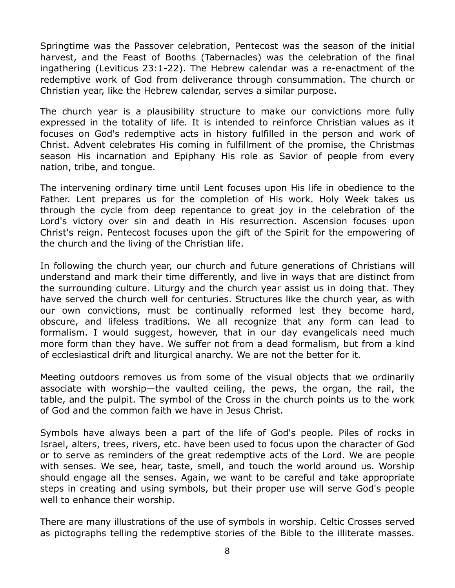Springtime was the Passover celebration, Pentecost was the season of the initial harvest, and the Feast of Booths (Tabernacles) was the celebration of the final ingathering (Leviticus 23:1-22). The Hebrew calendar was a re-enactment of the redemptive work of God from deliverance through consummation. The church or Christian year, like the Hebrew calendar, serves a similar purpose.

The church year is a plausibility structure to make our convictions more fully expressed in the totality of life. It is intended to reinforce Christian values as it focuses on God's redemptive acts in history fulfilled in the person and work of Christ. Advent celebrates His coming in fulfillment of the promise, the Christmas season His incarnation and Epiphany His role as Savior of people from every nation, tribe, and tongue.

The intervening ordinary time until Lent focuses upon His life in obedience to the Father. Lent prepares us for the completion of His work. Holy Week takes us through the cycle from deep repentance to great joy in the celebration of the Lord's victory over sin and death in His resurrection. Ascension focuses upon Christ's reign. Pentecost focuses upon the gift of the Spirit for the empowering of the church and the living of the Christian life.

In following the church year, our church and future generations of Christians will understand and mark their time differently, and live in ways that are distinct from the surrounding culture. Liturgy and the church year assist us in doing that. They have served the church well for centuries. Structures like the church year, as with our own convictions, must be continually reformed lest they become hard, obscure, and lifeless traditions. We all recognize that any form can lead to formalism. I would suggest, however, that in our day evangelicals need much more form than they have. We suffer not from a dead formalism, but from a kind of ecclesiastical drift and liturgical anarchy. We are not the better for it.

Meeting outdoors removes us from some of the visual objects that we ordinarily associate with worship—the vaulted ceiling, the pews, the organ, the rail, the table, and the pulpit. The symbol of the Cross in the church points us to the work of God and the common faith we have in Jesus Christ.

Symbols have always been a part of the life of God's people. Piles of rocks in Israel, alters, trees, rivers, etc. have been used to focus upon the character of God or to serve as reminders of the great redemptive acts of the Lord. We are people with senses. We see, hear, taste, smell, and touch the world around us. Worship should engage all the senses. Again, we want to be careful and take appropriate steps in creating and using symbols, but their proper use will serve God's people well to enhance their worship.

There are many illustrations of the use of symbols in worship. Celtic Crosses served as pictographs telling the redemptive stories of the Bible to the illiterate masses.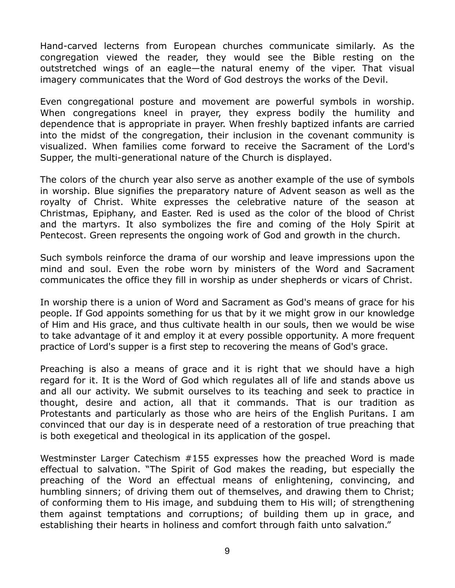Hand-carved lecterns from European churches communicate similarly. As the congregation viewed the reader, they would see the Bible resting on the outstretched wings of an eagle—the natural enemy of the viper. That visual imagery communicates that the Word of God destroys the works of the Devil.

Even congregational posture and movement are powerful symbols in worship. When congregations kneel in prayer, they express bodily the humility and dependence that is appropriate in prayer. When freshly baptized infants are carried into the midst of the congregation, their inclusion in the covenant community is visualized. When families come forward to receive the Sacrament of the Lord's Supper, the multi-generational nature of the Church is displayed.

The colors of the church year also serve as another example of the use of symbols in worship. Blue signifies the preparatory nature of Advent season as well as the royalty of Christ. White expresses the celebrative nature of the season at Christmas, Epiphany, and Easter. Red is used as the color of the blood of Christ and the martyrs. It also symbolizes the fire and coming of the Holy Spirit at Pentecost. Green represents the ongoing work of God and growth in the church.

Such symbols reinforce the drama of our worship and leave impressions upon the mind and soul. Even the robe worn by ministers of the Word and Sacrament communicates the office they fill in worship as under shepherds or vicars of Christ.

In worship there is a union of Word and Sacrament as God's means of grace for his people. If God appoints something for us that by it we might grow in our knowledge of Him and His grace, and thus cultivate health in our souls, then we would be wise to take advantage of it and employ it at every possible opportunity. A more frequent practice of Lord's supper is a first step to recovering the means of God's grace.

Preaching is also a means of grace and it is right that we should have a high regard for it. It is the Word of God which regulates all of life and stands above us and all our activity. We submit ourselves to its teaching and seek to practice in thought, desire and action, all that it commands. That is our tradition as Protestants and particularly as those who are heirs of the English Puritans. I am convinced that our day is in desperate need of a restoration of true preaching that is both exegetical and theological in its application of the gospel.

Westminster Larger Catechism #155 expresses how the preached Word is made effectual to salvation. "The Spirit of God makes the reading, but especially the preaching of the Word an effectual means of enlightening, convincing, and humbling sinners; of driving them out of themselves, and drawing them to Christ; of conforming them to His image, and subduing them to His will; of strengthening them against temptations and corruptions; of building them up in grace, and establishing their hearts in holiness and comfort through faith unto salvation."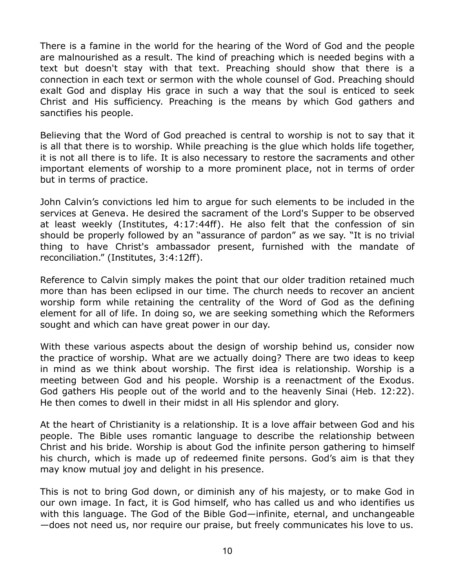There is a famine in the world for the hearing of the Word of God and the people are malnourished as a result. The kind of preaching which is needed begins with a text but doesn't stay with that text. Preaching should show that there is a connection in each text or sermon with the whole counsel of God. Preaching should exalt God and display His grace in such a way that the soul is enticed to seek Christ and His sufficiency. Preaching is the means by which God gathers and sanctifies his people.

Believing that the Word of God preached is central to worship is not to say that it is all that there is to worship. While preaching is the glue which holds life together, it is not all there is to life. It is also necessary to restore the sacraments and other important elements of worship to a more prominent place, not in terms of order but in terms of practice.

John Calvin's convictions led him to argue for such elements to be included in the services at Geneva. He desired the sacrament of the Lord's Supper to be observed at least weekly (Institutes, 4:17:44ff). He also felt that the confession of sin should be properly followed by an "assurance of pardon" as we say. "It is no trivial thing to have Christ's ambassador present, furnished with the mandate of reconciliation." (Institutes, 3:4:12ff).

Reference to Calvin simply makes the point that our older tradition retained much more than has been eclipsed in our time. The church needs to recover an ancient worship form while retaining the centrality of the Word of God as the defining element for all of life. In doing so, we are seeking something which the Reformers sought and which can have great power in our day.

With these various aspects about the design of worship behind us, consider now the practice of worship. What are we actually doing? There are two ideas to keep in mind as we think about worship. The first idea is relationship. Worship is a meeting between God and his people. Worship is a reenactment of the Exodus. God gathers His people out of the world and to the heavenly Sinai (Heb. 12:22). He then comes to dwell in their midst in all His splendor and glory.

At the heart of Christianity is a relationship. It is a love affair between God and his people. The Bible uses romantic language to describe the relationship between Christ and his bride. Worship is about God the infinite person gathering to himself his church, which is made up of redeemed finite persons. God's aim is that they may know mutual joy and delight in his presence.

This is not to bring God down, or diminish any of his majesty, or to make God in our own image. In fact, it is God himself, who has called us and who identifies us with this language. The God of the Bible God—infinite, eternal, and unchangeable —does not need us, nor require our praise, but freely communicates his love to us.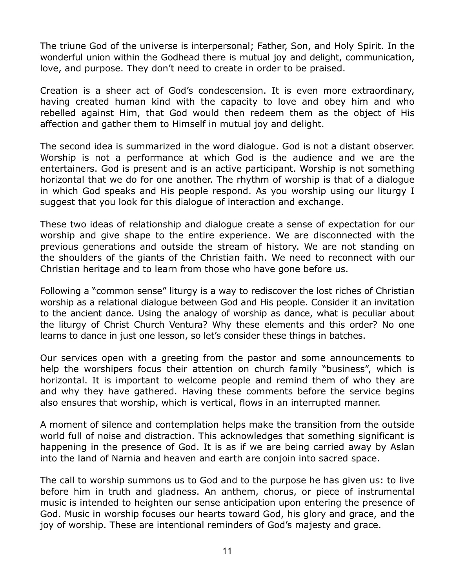The triune God of the universe is interpersonal; Father, Son, and Holy Spirit. In the wonderful union within the Godhead there is mutual joy and delight, communication, love, and purpose. They don't need to create in order to be praised.

Creation is a sheer act of God's condescension. It is even more extraordinary, having created human kind with the capacity to love and obey him and who rebelled against Him, that God would then redeem them as the object of His affection and gather them to Himself in mutual joy and delight.

The second idea is summarized in the word dialogue. God is not a distant observer. Worship is not a performance at which God is the audience and we are the entertainers. God is present and is an active participant. Worship is not something horizontal that we do for one another. The rhythm of worship is that of a dialogue in which God speaks and His people respond. As you worship using our liturgy I suggest that you look for this dialogue of interaction and exchange.

These two ideas of relationship and dialogue create a sense of expectation for our worship and give shape to the entire experience. We are disconnected with the previous generations and outside the stream of history. We are not standing on the shoulders of the giants of the Christian faith. We need to reconnect with our Christian heritage and to learn from those who have gone before us.

Following a "common sense" liturgy is a way to rediscover the lost riches of Christian worship as a relational dialogue between God and His people. Consider it an invitation to the ancient dance. Using the analogy of worship as dance, what is peculiar about the liturgy of Christ Church Ventura? Why these elements and this order? No one learns to dance in just one lesson, so let's consider these things in batches.

Our services open with a greeting from the pastor and some announcements to help the worshipers focus their attention on church family "business", which is horizontal. It is important to welcome people and remind them of who they are and why they have gathered. Having these comments before the service begins also ensures that worship, which is vertical, flows in an interrupted manner.

A moment of silence and contemplation helps make the transition from the outside world full of noise and distraction. This acknowledges that something significant is happening in the presence of God. It is as if we are being carried away by Aslan into the land of Narnia and heaven and earth are conjoin into sacred space.

The call to worship summons us to God and to the purpose he has given us: to live before him in truth and gladness. An anthem, chorus, or piece of instrumental music is intended to heighten our sense anticipation upon entering the presence of God. Music in worship focuses our hearts toward God, his glory and grace, and the joy of worship. These are intentional reminders of God's majesty and grace.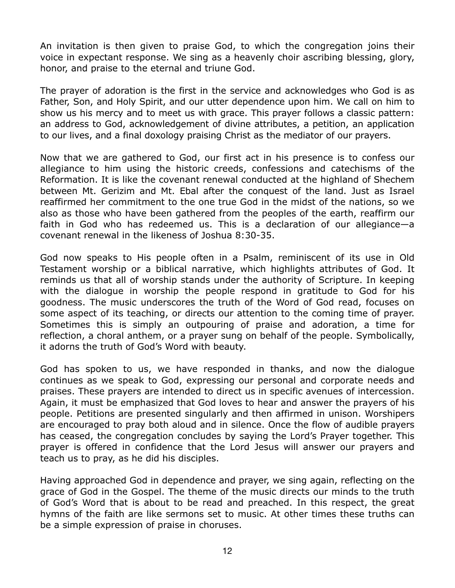An invitation is then given to praise God, to which the congregation joins their voice in expectant response. We sing as a heavenly choir ascribing blessing, glory, honor, and praise to the eternal and triune God.

The prayer of adoration is the first in the service and acknowledges who God is as Father, Son, and Holy Spirit, and our utter dependence upon him. We call on him to show us his mercy and to meet us with grace. This prayer follows a classic pattern: an address to God, acknowledgement of divine attributes, a petition, an application to our lives, and a final doxology praising Christ as the mediator of our prayers.

Now that we are gathered to God, our first act in his presence is to confess our allegiance to him using the historic creeds, confessions and catechisms of the Reformation. It is like the covenant renewal conducted at the highland of Shechem between Mt. Gerizim and Mt. Ebal after the conquest of the land. Just as Israel reaffirmed her commitment to the one true God in the midst of the nations, so we also as those who have been gathered from the peoples of the earth, reaffirm our faith in God who has redeemed us. This is a declaration of our allegiance—a covenant renewal in the likeness of Joshua 8:30-35.

God now speaks to His people often in a Psalm, reminiscent of its use in Old Testament worship or a biblical narrative, which highlights attributes of God. It reminds us that all of worship stands under the authority of Scripture. In keeping with the dialogue in worship the people respond in gratitude to God for his goodness. The music underscores the truth of the Word of God read, focuses on some aspect of its teaching, or directs our attention to the coming time of prayer. Sometimes this is simply an outpouring of praise and adoration, a time for reflection, a choral anthem, or a prayer sung on behalf of the people. Symbolically, it adorns the truth of God's Word with beauty.

God has spoken to us, we have responded in thanks, and now the dialogue continues as we speak to God, expressing our personal and corporate needs and praises. These prayers are intended to direct us in specific avenues of intercession. Again, it must be emphasized that God loves to hear and answer the prayers of his people. Petitions are presented singularly and then affirmed in unison. Worshipers are encouraged to pray both aloud and in silence. Once the flow of audible prayers has ceased, the congregation concludes by saying the Lord's Prayer together. This prayer is offered in confidence that the Lord Jesus will answer our prayers and teach us to pray, as he did his disciples.

Having approached God in dependence and prayer, we sing again, reflecting on the grace of God in the Gospel. The theme of the music directs our minds to the truth of God's Word that is about to be read and preached. In this respect, the great hymns of the faith are like sermons set to music. At other times these truths can be a simple expression of praise in choruses.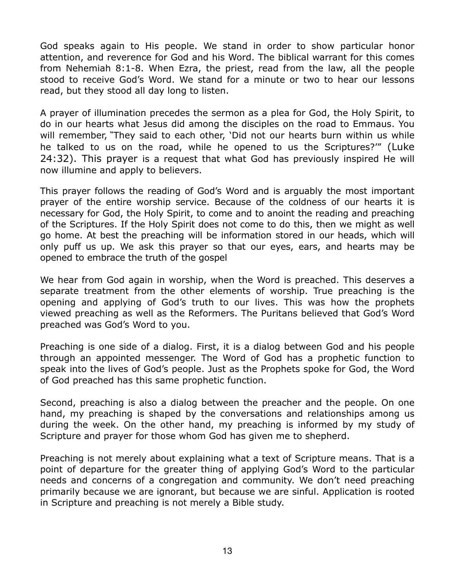God speaks again to His people. We stand in order to show particular honor attention, and reverence for God and his Word. The biblical warrant for this comes from Nehemiah 8:1-8. When Ezra, the priest, read from the law, all the people stood to receive God's Word. We stand for a minute or two to hear our lessons read, but they stood all day long to listen.

A prayer of illumination precedes the sermon as a plea for God, the Holy Spirit, to do in our hearts what Jesus did among the disciples on the road to Emmaus. You will remember, **"**They said to each other, 'Did not our hearts burn within us while he talked to us on the road, while he opened to us the Scriptures?'" (Luke 24:32). This prayer is a request that what God has previously inspired He will now illumine and apply to believers.

This prayer follows the reading of God's Word and is arguably the most important prayer of the entire worship service. Because of the coldness of our hearts it is necessary for God, the Holy Spirit, to come and to anoint the reading and preaching of the Scriptures. If the Holy Spirit does not come to do this, then we might as well go home. At best the preaching will be information stored in our heads, which will only puff us up. We ask this prayer so that our eyes, ears, and hearts may be opened to embrace the truth of the gospel

We hear from God again in worship, when the Word is preached. This deserves a separate treatment from the other elements of worship. True preaching is the opening and applying of God's truth to our lives. This was how the prophets viewed preaching as well as the Reformers. The Puritans believed that God's Word preached was God's Word to you.

Preaching is one side of a dialog. First, it is a dialog between God and his people through an appointed messenger. The Word of God has a prophetic function to speak into the lives of God's people. Just as the Prophets spoke for God, the Word of God preached has this same prophetic function.

Second, preaching is also a dialog between the preacher and the people. On one hand, my preaching is shaped by the conversations and relationships among us during the week. On the other hand, my preaching is informed by my study of Scripture and prayer for those whom God has given me to shepherd.

Preaching is not merely about explaining what a text of Scripture means. That is a point of departure for the greater thing of applying God's Word to the particular needs and concerns of a congregation and community. We don't need preaching primarily because we are ignorant, but because we are sinful. Application is rooted in Scripture and preaching is not merely a Bible study.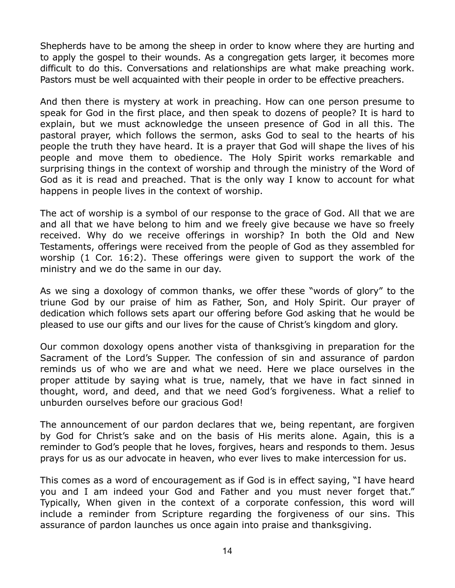Shepherds have to be among the sheep in order to know where they are hurting and to apply the gospel to their wounds. As a congregation gets larger, it becomes more difficult to do this. Conversations and relationships are what make preaching work. Pastors must be well acquainted with their people in order to be effective preachers.

And then there is mystery at work in preaching. How can one person presume to speak for God in the first place, and then speak to dozens of people? It is hard to explain, but we must acknowledge the unseen presence of God in all this. The pastoral prayer, which follows the sermon, asks God to seal to the hearts of his people the truth they have heard. It is a prayer that God will shape the lives of his people and move them to obedience. The Holy Spirit works remarkable and surprising things in the context of worship and through the ministry of the Word of God as it is read and preached. That is the only way I know to account for what happens in people lives in the context of worship.

The act of worship is a symbol of our response to the grace of God. All that we are and all that we have belong to him and we freely give because we have so freely received. Why do we receive offerings in worship? In both the Old and New Testaments, offerings were received from the people of God as they assembled for worship (1 Cor. 16:2). These offerings were given to support the work of the ministry and we do the same in our day.

As we sing a doxology of common thanks, we offer these "words of glory" to the triune God by our praise of him as Father, Son, and Holy Spirit. Our prayer of dedication which follows sets apart our offering before God asking that he would be pleased to use our gifts and our lives for the cause of Christ's kingdom and glory.

Our common doxology opens another vista of thanksgiving in preparation for the Sacrament of the Lord's Supper. The confession of sin and assurance of pardon reminds us of who we are and what we need. Here we place ourselves in the proper attitude by saying what is true, namely, that we have in fact sinned in thought, word, and deed, and that we need God's forgiveness. What a relief to unburden ourselves before our gracious God!

The announcement of our pardon declares that we, being repentant, are forgiven by God for Christ's sake and on the basis of His merits alone. Again, this is a reminder to God's people that he loves, forgives, hears and responds to them. Jesus prays for us as our advocate in heaven, who ever lives to make intercession for us.

This comes as a word of encouragement as if God is in effect saying, "I have heard you and I am indeed your God and Father and you must never forget that." Typically, When given in the context of a corporate confession, this word will include a reminder from Scripture regarding the forgiveness of our sins. This assurance of pardon launches us once again into praise and thanksgiving.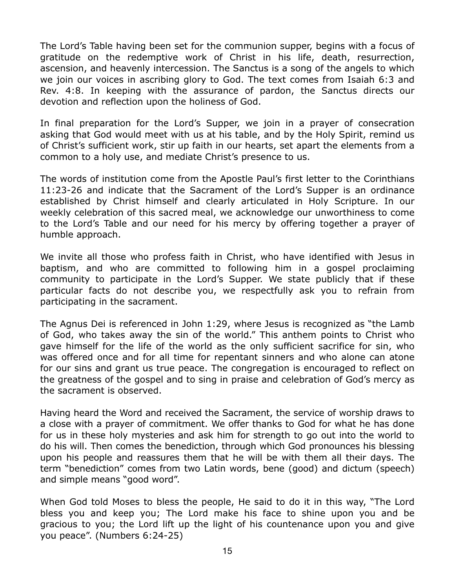The Lord's Table having been set for the communion supper, begins with a focus of gratitude on the redemptive work of Christ in his life, death, resurrection, ascension, and heavenly intercession. The Sanctus is a song of the angels to which we join our voices in ascribing glory to God. The text comes from Isaiah 6:3 and Rev. 4:8. In keeping with the assurance of pardon, the Sanctus directs our devotion and reflection upon the holiness of God.

In final preparation for the Lord's Supper, we join in a prayer of consecration asking that God would meet with us at his table, and by the Holy Spirit, remind us of Christ's sufficient work, stir up faith in our hearts, set apart the elements from a common to a holy use, and mediate Christ's presence to us.

The words of institution come from the Apostle Paul's first letter to the Corinthians 11:23-26 and indicate that the Sacrament of the Lord's Supper is an ordinance established by Christ himself and clearly articulated in Holy Scripture. In our weekly celebration of this sacred meal, we acknowledge our unworthiness to come to the Lord's Table and our need for his mercy by offering together a prayer of humble approach.

We invite all those who profess faith in Christ, who have identified with Jesus in baptism, and who are committed to following him in a gospel proclaiming community to participate in the Lord's Supper. We state publicly that if these particular facts do not describe you, we respectfully ask you to refrain from participating in the sacrament.

The Agnus Dei is referenced in John 1:29, where Jesus is recognized as "the Lamb of God, who takes away the sin of the world." This anthem points to Christ who gave himself for the life of the world as the only sufficient sacrifice for sin, who was offered once and for all time for repentant sinners and who alone can atone for our sins and grant us true peace. The congregation is encouraged to reflect on the greatness of the gospel and to sing in praise and celebration of God's mercy as the sacrament is observed.

Having heard the Word and received the Sacrament, the service of worship draws to a close with a prayer of commitment. We offer thanks to God for what he has done for us in these holy mysteries and ask him for strength to go out into the world to do his will. Then comes the benediction, through which God pronounces his blessing upon his people and reassures them that he will be with them all their days. The term "benediction" comes from two Latin words, bene (good) and dictum (speech) and simple means "good word".

When God told Moses to bless the people, He said to do it in this way, "The Lord bless you and keep you; The Lord make his face to shine upon you and be gracious to you; the Lord lift up the light of his countenance upon you and give you peace". (Numbers 6:24-25)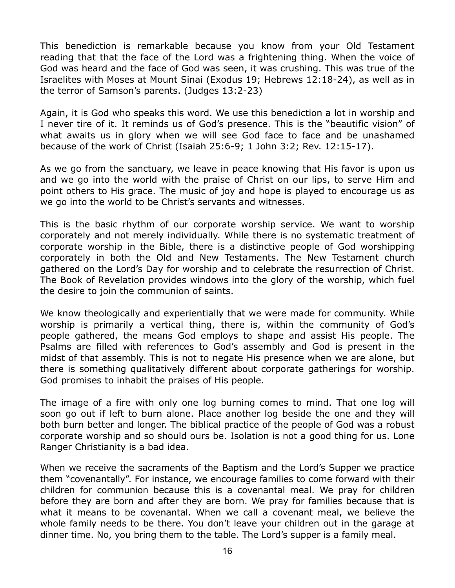This benediction is remarkable because you know from your Old Testament reading that that the face of the Lord was a frightening thing. When the voice of God was heard and the face of God was seen, it was crushing. This was true of the Israelites with Moses at Mount Sinai (Exodus 19; Hebrews 12:18-24), as well as in the terror of Samson's parents. (Judges 13:2-23)

Again, it is God who speaks this word. We use this benediction a lot in worship and I never tire of it. It reminds us of God's presence. This is the "beautific vision" of what awaits us in glory when we will see God face to face and be unashamed because of the work of Christ (Isaiah 25:6-9; 1 John 3:2; Rev. 12:15-17).

As we go from the sanctuary, we leave in peace knowing that His favor is upon us and we go into the world with the praise of Christ on our lips, to serve Him and point others to His grace. The music of joy and hope is played to encourage us as we go into the world to be Christ's servants and witnesses.

This is the basic rhythm of our corporate worship service. We want to worship corporately and not merely individually. While there is no systematic treatment of corporate worship in the Bible, there is a distinctive people of God worshipping corporately in both the Old and New Testaments. The New Testament church gathered on the Lord's Day for worship and to celebrate the resurrection of Christ. The Book of Revelation provides windows into the glory of the worship, which fuel the desire to join the communion of saints.

We know theologically and experientially that we were made for community. While worship is primarily a vertical thing, there is, within the community of God's people gathered, the means God employs to shape and assist His people. The Psalms are filled with references to God's assembly and God is present in the midst of that assembly. This is not to negate His presence when we are alone, but there is something qualitatively different about corporate gatherings for worship. God promises to inhabit the praises of His people.

The image of a fire with only one log burning comes to mind. That one log will soon go out if left to burn alone. Place another log beside the one and they will both burn better and longer. The biblical practice of the people of God was a robust corporate worship and so should ours be. Isolation is not a good thing for us. Lone Ranger Christianity is a bad idea.

When we receive the sacraments of the Baptism and the Lord's Supper we practice them "covenantally". For instance, we encourage families to come forward with their children for communion because this is a covenantal meal. We pray for children before they are born and after they are born. We pray for families because that is what it means to be covenantal. When we call a covenant meal, we believe the whole family needs to be there. You don't leave your children out in the garage at dinner time. No, you bring them to the table. The Lord's supper is a family meal.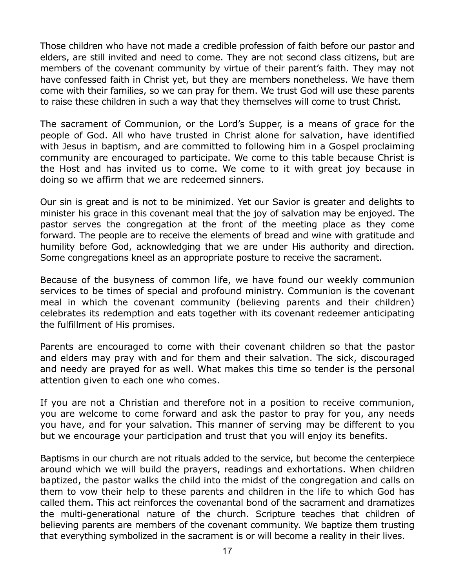Those children who have not made a credible profession of faith before our pastor and elders, are still invited and need to come. They are not second class citizens, but are members of the covenant community by virtue of their parent's faith. They may not have confessed faith in Christ yet, but they are members nonetheless. We have them come with their families, so we can pray for them. We trust God will use these parents to raise these children in such a way that they themselves will come to trust Christ.

The sacrament of Communion, or the Lord's Supper, is a means of grace for the people of God. All who have trusted in Christ alone for salvation, have identified with Jesus in baptism, and are committed to following him in a Gospel proclaiming community are encouraged to participate. We come to this table because Christ is the Host and has invited us to come. We come to it with great joy because in doing so we affirm that we are redeemed sinners.

Our sin is great and is not to be minimized. Yet our Savior is greater and delights to minister his grace in this covenant meal that the joy of salvation may be enjoyed. The pastor serves the congregation at the front of the meeting place as they come forward. The people are to receive the elements of bread and wine with gratitude and humility before God, acknowledging that we are under His authority and direction. Some congregations kneel as an appropriate posture to receive the sacrament.

Because of the busyness of common life, we have found our weekly communion services to be times of special and profound ministry. Communion is the covenant meal in which the covenant community (believing parents and their children) celebrates its redemption and eats together with its covenant redeemer anticipating the fulfillment of His promises.

Parents are encouraged to come with their covenant children so that the pastor and elders may pray with and for them and their salvation. The sick, discouraged and needy are prayed for as well. What makes this time so tender is the personal attention given to each one who comes.

If you are not a Christian and therefore not in a position to receive communion, you are welcome to come forward and ask the pastor to pray for you, any needs you have, and for your salvation. This manner of serving may be different to you but we encourage your participation and trust that you will enjoy its benefits.

Baptisms in our church are not rituals added to the service, but become the centerpiece around which we will build the prayers, readings and exhortations. When children baptized, the pastor walks the child into the midst of the congregation and calls on them to vow their help to these parents and children in the life to which God has called them. This act reinforces the covenantal bond of the sacrament and dramatizes the multi-generational nature of the church. Scripture teaches that children of believing parents are members of the covenant community. We baptize them trusting that everything symbolized in the sacrament is or will become a reality in their lives.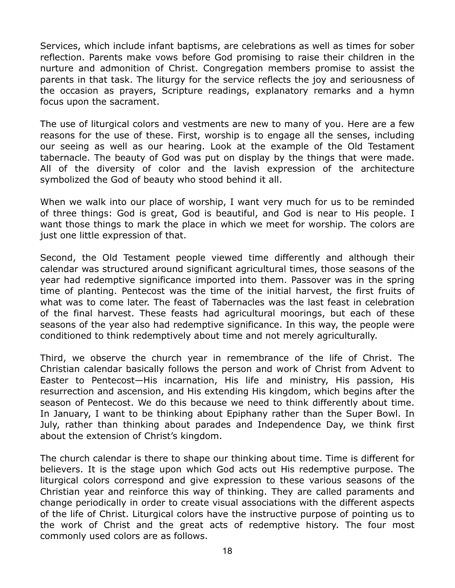Services, which include infant baptisms, are celebrations as well as times for sober reflection. Parents make vows before God promising to raise their children in the nurture and admonition of Christ. Congregation members promise to assist the parents in that task. The liturgy for the service reflects the joy and seriousness of the occasion as prayers, Scripture readings, explanatory remarks and a hymn focus upon the sacrament.

The use of liturgical colors and vestments are new to many of you. Here are a few reasons for the use of these. First, worship is to engage all the senses, including our seeing as well as our hearing. Look at the example of the Old Testament tabernacle. The beauty of God was put on display by the things that were made. All of the diversity of color and the lavish expression of the architecture symbolized the God of beauty who stood behind it all.

When we walk into our place of worship, I want very much for us to be reminded of three things: God is great, God is beautiful, and God is near to His people. I want those things to mark the place in which we meet for worship. The colors are just one little expression of that.

Second, the Old Testament people viewed time differently and although their calendar was structured around significant agricultural times, those seasons of the year had redemptive significance imported into them. Passover was in the spring time of planting. Pentecost was the time of the initial harvest, the first fruits of what was to come later. The feast of Tabernacles was the last feast in celebration of the final harvest. These feasts had agricultural moorings, but each of these seasons of the year also had redemptive significance. In this way, the people were conditioned to think redemptively about time and not merely agriculturally.

Third, we observe the church year in remembrance of the life of Christ. The Christian calendar basically follows the person and work of Christ from Advent to Easter to Pentecost—His incarnation, His life and ministry, His passion, His resurrection and ascension, and His extending His kingdom, which begins after the season of Pentecost. We do this because we need to think differently about time. In January, I want to be thinking about Epiphany rather than the Super Bowl. In July, rather than thinking about parades and Independence Day, we think first about the extension of Christ's kingdom.

The church calendar is there to shape our thinking about time. Time is different for believers. It is the stage upon which God acts out His redemptive purpose. The liturgical colors correspond and give expression to these various seasons of the Christian year and reinforce this way of thinking. They are called paraments and change periodically in order to create visual associations with the different aspects of the life of Christ. Liturgical colors have the instructive purpose of pointing us to the work of Christ and the great acts of redemptive history. The four most commonly used colors are as follows.